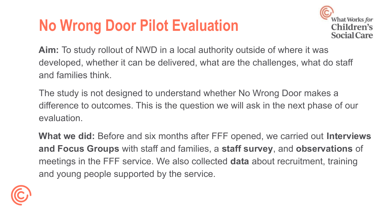## **No Wrong Door Pilot Evaluation**



**Aim:** To study rollout of NWD in a local authority outside of where it was developed, whether it can be delivered, what are the challenges, what do staff and families think.

The study is not designed to understand whether No Wrong Door makes a difference to outcomes. This is the question we will ask in the next phase of our evaluation.

**What we did:** Before and six months after FFF opened, we carried out **Interviews and Focus Groups** with staff and families, a **staff survey**, and **observations** of meetings in the FFF service. We also collected **data** about recruitment, training and young people supported by the service.

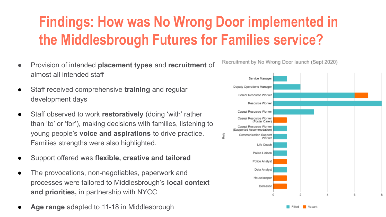## **Findings: How was No Wrong Door implemented in the Middlesbrough Futures for Families service?**

- Provision of intended **placement types** and **recruitment** of almost all intended staff
- Staff received comprehensive **training** and regular development days
- Staff observed to work **restoratively** (doing 'with' rather than 'to' or 'for'), making decisions with families, listening to young people's **voice and aspirations** to drive practice. Families strengths were also highlighted.
- Support offered was **flexible, creative and tailored**
- The provocations, non-negotiables, paperwork and processes were tailored to Middlesbrough's **local context and priorities,** in partnership with NYCC
- Age range adapted to 11-18 in Middlesbrough



Recruitment by No Wrong Door launch (Sept 2020)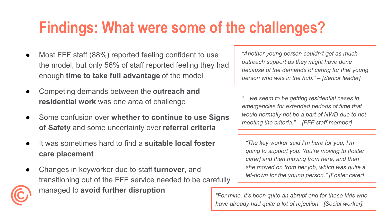## **Findings: What were some of the challenges?**

- Most FFF staff (88%) reported feeling confident to use the model, but only 56% of staff reported feeling they had enough **time to take full advantage** of the model
- Competing demands between the **outreach and residential work** was one area of challenge
- Some confusion over **whether to continue to use Signs of Safety** and some uncertainty over **referral criteria**
- It was sometimes hard to find a **suitable local foster care placement**
- Changes in keyworker due to staff **turnover**, and transitioning out of the FFF service needed to be carefully



managed to **avoid further disruption**

*"Another young person couldn't get as much outreach support as they might have done because of the demands of caring for that young person who was in the hub." – [Senior leader]*

*"…we seem to be getting residential cases in emergencies for extended periods of time that would normally not be a part of NWD due to not meeting the criteria."* – *[FFF staff member]*

*"The key worker said I'm here for you, I'm going to support you. You're moving to [foster carer] and then moving from here, and then she moved on from her job, which was quite a let-down for the young person." [Foster carer]*

**@whatworksCSC** *have already had quite a lot of rejection." [Social worker]."For mine, it's been quite an abrupt end for these kids who*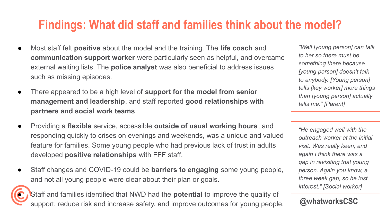## **Findings: What did staff and families think about the model?**

- Most staff felt **positive** about the model and the training. The **life coach** and **communication support worker** were particularly seen as helpful, and overcame external waiting lists. The **police analyst** was also beneficial to address issues such as missing episodes.
- There appeared to be a high level of **support for the model from senior management and leadership**, and staff reported **good relationships with partners and social work teams**
- Providing a **flexible** service, accessible **outside of usual working hours**, and responding quickly to crises on evenings and weekends, was a unique and valued feature for families. Some young people who had previous lack of trust in adults developed **positive relationships** with FFF staff.
- Staff changes and COVID-19 could be **barriers to engaging** some young people, and not all young people were clear about their plan or goals.



**Staff and families identified that NWD had the <b>potential** to improve the quality of support, reduce risk and increase safety, and improve outcomes for young people.

*"Well [young person] can talk to her so there must be something there because [young person] doesn't talk to anybody. [Young person] tells [key worker] more things than [young person] actually tells me." [Parent]*

*"He engaged well with the outreach worker at the initial visit. Was really keen, and again I think there was a gap in revisiting that young person. Again you know, a three week gap, so he lost interest." [Social worker]*

**@whatworksCSC**